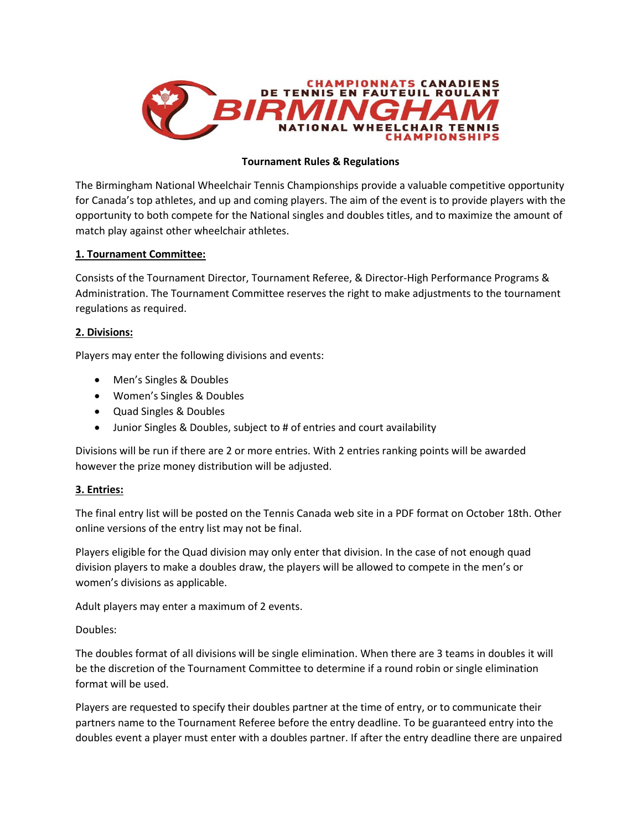

### **Tournament Rules & Regulations**

The Birmingham National Wheelchair Tennis Championships provide a valuable competitive opportunity for Canada's top athletes, and up and coming players. The aim of the event is to provide players with the opportunity to both compete for the National singles and doubles titles, and to maximize the amount of match play against other wheelchair athletes.

### **1. Tournament Committee:**

Consists of the Tournament Director, Tournament Referee, & Director-High Performance Programs & Administration. The Tournament Committee reserves the right to make adjustments to the tournament regulations as required.

### **2. Divisions:**

Players may enter the following divisions and events:

- Men's Singles & Doubles
- Women's Singles & Doubles
- Quad Singles & Doubles
- Junior Singles & Doubles, subject to # of entries and court availability

Divisions will be run if there are 2 or more entries. With 2 entries ranking points will be awarded however the prize money distribution will be adjusted.

#### **3. Entries:**

The final entry list will be posted on the Tennis Canada web site in a PDF format on October 18th. Other online versions of the entry list may not be final.

Players eligible for the Quad division may only enter that division. In the case of not enough quad division players to make a doubles draw, the players will be allowed to compete in the men's or women's divisions as applicable.

Adult players may enter a maximum of 2 events.

Doubles:

The doubles format of all divisions will be single elimination. When there are 3 teams in doubles it will be the discretion of the Tournament Committee to determine if a round robin or single elimination format will be used.

Players are requested to specify their doubles partner at the time of entry, or to communicate their partners name to the Tournament Referee before the entry deadline. To be guaranteed entry into the doubles event a player must enter with a doubles partner. If after the entry deadline there are unpaired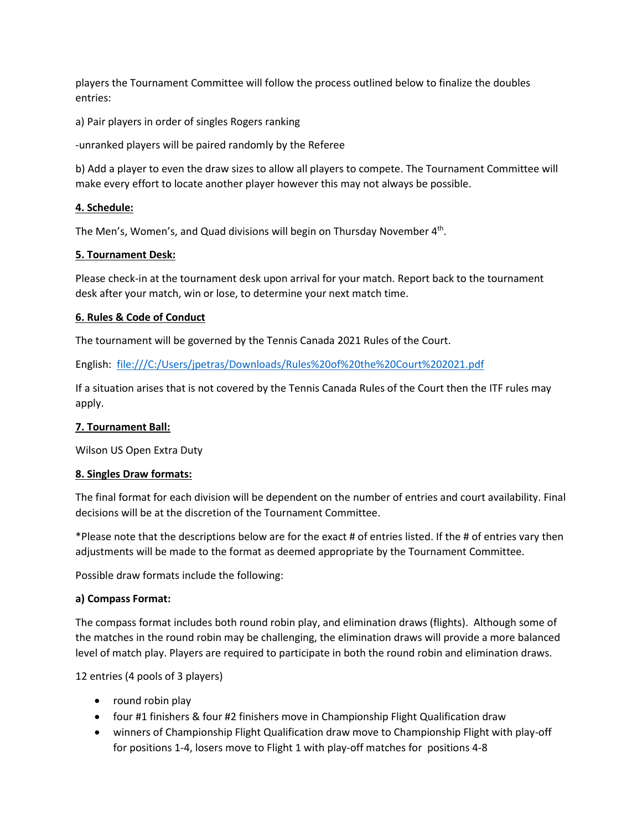players the Tournament Committee will follow the process outlined below to finalize the doubles entries:

a) Pair players in order of singles Rogers ranking

-unranked players will be paired randomly by the Referee

b) Add a player to even the draw sizes to allow all players to compete. The Tournament Committee will make every effort to locate another player however this may not always be possible.

### **4. Schedule:**

The Men's, Women's, and Quad divisions will begin on Thursday November 4<sup>th</sup>.

### **5. Tournament Desk:**

Please check-in at the tournament desk upon arrival for your match. Report back to the tournament desk after your match, win or lose, to determine your next match time.

### **6. Rules & Code of Conduct**

The tournament will be governed by the Tennis Canada 2021 Rules of the Court.

English: <file:///C:/Users/jpetras/Downloads/Rules%20of%20the%20Court%202021.pdf>

If a situation arises that is not covered by the Tennis Canada Rules of the Court then the ITF rules may apply.

#### **7. Tournament Ball:**

Wilson US Open Extra Duty

#### **8. Singles Draw formats:**

The final format for each division will be dependent on the number of entries and court availability. Final decisions will be at the discretion of the Tournament Committee.

\*Please note that the descriptions below are for the exact # of entries listed. If the # of entries vary then adjustments will be made to the format as deemed appropriate by the Tournament Committee.

Possible draw formats include the following:

#### **a) Compass Format:**

The compass format includes both round robin play, and elimination draws (flights). Although some of the matches in the round robin may be challenging, the elimination draws will provide a more balanced level of match play. Players are required to participate in both the round robin and elimination draws.

12 entries (4 pools of 3 players)

- round robin play
- four #1 finishers & four #2 finishers move in Championship Flight Qualification draw
- winners of Championship Flight Qualification draw move to Championship Flight with play-off for positions 1-4, losers move to Flight 1 with play-off matches for positions 4-8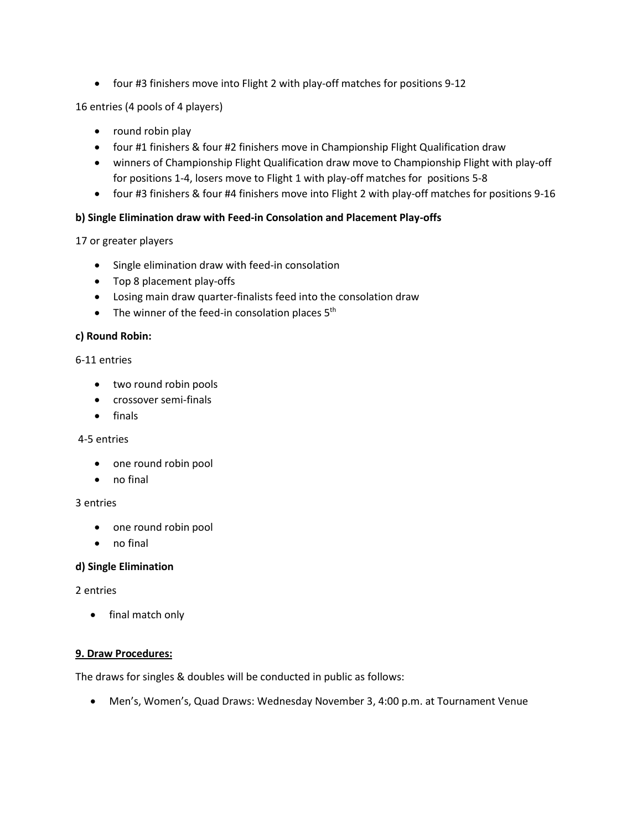• four #3 finishers move into Flight 2 with play-off matches for positions 9-12

16 entries (4 pools of 4 players)

- round robin play
- four #1 finishers & four #2 finishers move in Championship Flight Qualification draw
- winners of Championship Flight Qualification draw move to Championship Flight with play-off for positions 1-4, losers move to Flight 1 with play-off matches for positions 5-8
- four #3 finishers & four #4 finishers move into Flight 2 with play-off matches for positions 9-16

### **b) Single Elimination draw with Feed-in Consolation and Placement Play-offs**

### 17 or greater players

- Single elimination draw with feed-in consolation
- Top 8 placement play-offs
- Losing main draw quarter-finalists feed into the consolation draw
- The winner of the feed-in consolation places  $5<sup>th</sup>$

#### **c) Round Robin:**

#### 6-11 entries

- two round robin pools
- crossover semi-finals
- finals

#### 4-5 entries

- one round robin pool
- no final

#### 3 entries

- one round robin pool
- no final

#### **d) Single Elimination**

#### 2 entries

• final match only

#### **9. Draw Procedures:**

The draws for singles & doubles will be conducted in public as follows:

• Men's, Women's, Quad Draws: Wednesday November 3, 4:00 p.m. at Tournament Venue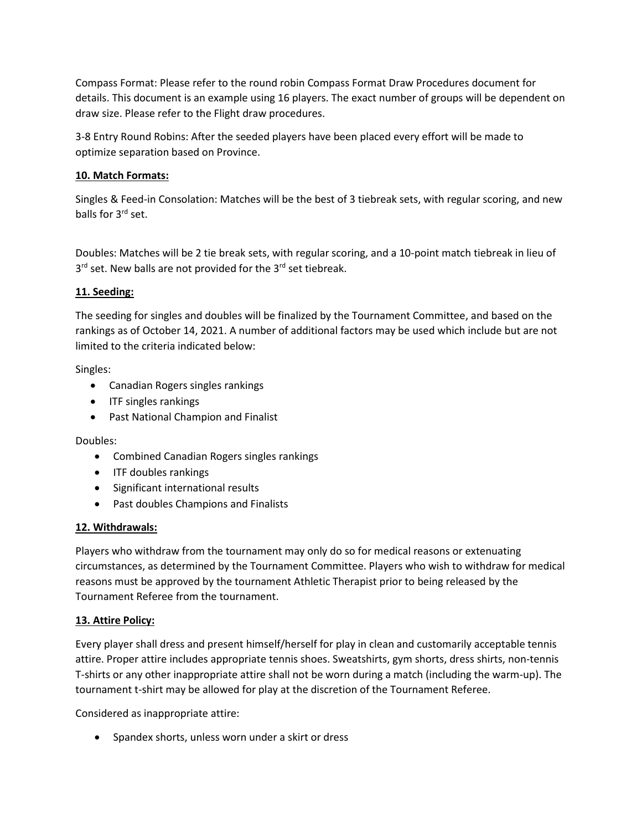Compass Format: Please refer to the round robin Compass Format Draw Procedures document for details. This document is an example using 16 players. The exact number of groups will be dependent on draw size. Please refer to the Flight draw procedures.

3-8 Entry Round Robins: After the seeded players have been placed every effort will be made to optimize separation based on Province.

## **10. Match Formats:**

Singles & Feed-in Consolation: Matches will be the best of 3 tiebreak sets, with regular scoring, and new balls for 3rd set.

Doubles: Matches will be 2 tie break sets, with regular scoring, and a 10-point match tiebreak in lieu of 3<sup>rd</sup> set. New balls are not provided for the 3<sup>rd</sup> set tiebreak.

### **11. Seeding:**

The seeding for singles and doubles will be finalized by the Tournament Committee, and based on the rankings as of October 14, 2021. A number of additional factors may be used which include but are not limited to the criteria indicated below:

Singles:

- Canadian Rogers singles rankings
- ITF singles rankings
- Past National Champion and Finalist

Doubles:

- Combined Canadian Rogers singles rankings
- ITF doubles rankings
- Significant international results
- Past doubles Champions and Finalists

#### **12. Withdrawals:**

Players who withdraw from the tournament may only do so for medical reasons or extenuating circumstances, as determined by the Tournament Committee. Players who wish to withdraw for medical reasons must be approved by the tournament Athletic Therapist prior to being released by the Tournament Referee from the tournament.

#### **13. Attire Policy:**

Every player shall dress and present himself/herself for play in clean and customarily acceptable tennis attire. Proper attire includes appropriate tennis shoes. Sweatshirts, gym shorts, dress shirts, non-tennis T-shirts or any other inappropriate attire shall not be worn during a match (including the warm-up). The tournament t-shirt may be allowed for play at the discretion of the Tournament Referee.

Considered as inappropriate attire:

• Spandex shorts, unless worn under a skirt or dress